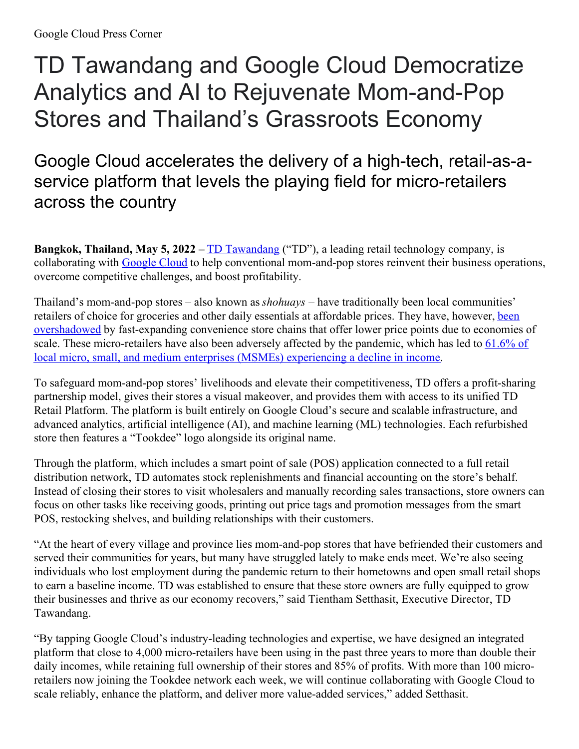# TD Tawandang and Google Cloud Democratize Analytics and AI to Rejuvenate Mom-and-Pop Stores and Thailand's Grassroots Economy

Google Cloud accelerates the delivery of a high-tech, retail-as-aservice platform that levels the playing field for micro-retailers across the country

**Bangkok, Thailand, May 5, 2022 –** TD [Tawandang](https://www.tdshop.io/) ("TD"), a leading retail technology company, is collaborating with [Google](https://cloud.google.com/) Cloud to help conventional mom-and-pop stores reinvent their business operations, overcome competitive challenges, and boost profitability.

Thailand's mom-and-pop stores – also known as *shohuays* – have traditionally been local communities' retailers of choice for groceries and other daily essentials at affordable prices. They have, however, been overshadowed by [fast-expanding](https://www2.deloitte.com/content/dam/Deloitte/th/Documents/about-deloitte/th-about-economic-outlook-1h-2019.pdf) convenience store chains that offer lower price points due to economies of scale. These [micro-retailers](https://www.statista.com/statistics/1253122/thailand-impact-covid-19-on-smes/) have also been adversely affected by the pandemic, which has led to 61.6% of local micro, small, and medium enterprises (MSMEs) experiencing a decline in income.

To safeguard mom-and-pop stores' livelihoods and elevate their competitiveness, TD offers a profit-sharing partnership model, gives their stores a visual makeover, and provides them with access to its unified TD Retail Platform. The platform is built entirely on Google Cloud's secure and scalable infrastructure, and advanced analytics, artificial intelligence (AI), and machine learning (ML) technologies. Each refurbished store then features a "Tookdee" logo alongside its original name.

Through the platform, which includes a smart point of sale (POS) application connected to a full retail distribution network, TD automates stock replenishments and financial accounting on the store's behalf. Instead of closing their stores to visit wholesalers and manually recording sales transactions, store owners can focus on other tasks like receiving goods, printing out price tags and promotion messages from the smart POS, restocking shelves, and building relationships with their customers.

"At the heart of every village and province lies mom-and-pop stores that have befriended their customers and served their communities for years, but many have struggled lately to make ends meet. We're also seeing individuals who lost employment during the pandemic return to their hometowns and open small retail shops to earn a baseline income. TD was established to ensure that these store owners are fully equipped to grow their businesses and thrive as our economy recovers," said Tientham Setthasit, Executive Director, TD Tawandang.

"By tapping Google Cloud's industry-leading technologies and expertise, we have designed an integrated platform that close to 4,000 micro-retailers have been using in the past three years to more than double their daily incomes, while retaining full ownership of their stores and 85% of profits. With more than 100 microretailers now joining the Tookdee network each week, we will continue collaborating with Google Cloud to scale reliably, enhance the platform, and deliver more value-added services," added Setthasit.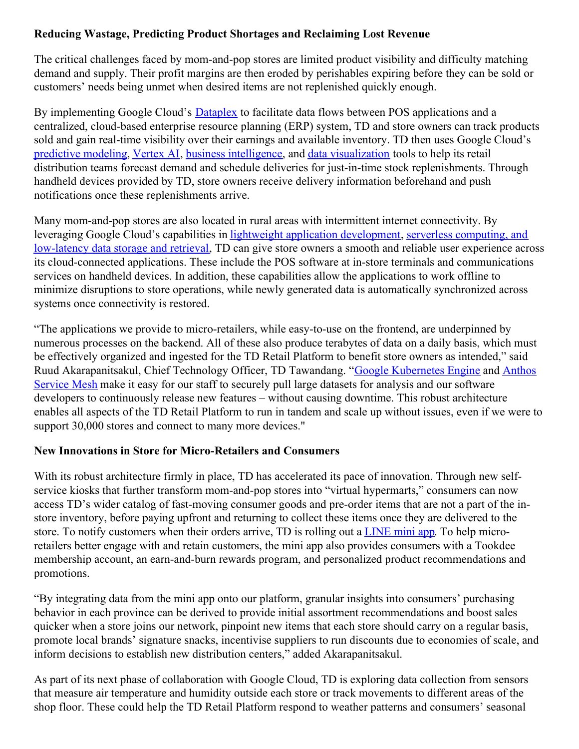## **Reducing Wastage, Predicting Product Shortages and Reclaiming Lost Revenue**

The critical challenges faced by mom-and-pop stores are limited product visibility and difficulty matching demand and supply. Their profit margins are then eroded by perishables expiring before they can be sold or customers' needs being unmet when desired items are not replenished quickly enough.

By implementing Google Cloud's [Dataplex](https://cloud.google.com/dataplex) to facilitate data flows between POS applications and a centralized, cloud-based enterprise resource planning (ERP) system, TD and store owners can track products sold and gain real-time visibility over their earnings and available inventory. TD then uses Google Cloud's [predictive](https://cloud.google.com/bigquery-ml/docs/introduction) modeling, [Vertex](https://cloud.google.com/vertex-ai) AI, business [intelligence](https://cloud.google.com/bigquery/docs/bi-engine-intro), and data [visualization](https://cloud.google.com/bigquery/docs/visualize-data-studio) tools to help its retail distribution teams forecast demand and schedule deliveries for just-in-time stock replenishments. Through handheld devices provided by TD, store owners receive delivery information beforehand and push notifications once these replenishments arrive.

Many mom-and-pop stores are also located in rural areas with intermittent internet connectivity. By leveraging Google Cloud's capabilities in lightweight application [development,](https://cloud.google.com/firestore) serverless computing, and low-latency data storage and retrieval, TD can give store owners a smooth and reliable user experience across its cloud-connected applications. These include the POS software at in-store terminals and communications services on handheld devices. In addition, these capabilities allow the applications to work offline to minimize disruptions to store operations, while newly generated data is automatically synchronized across systems once connectivity is restored.

"The applications we provide to micro-retailers, while easy-to-use on the frontend, are underpinned by numerous processes on the backend. All of these also produce terabytes of data on a daily basis, which must be effectively organized and ingested for the TD Retail Platform to benefit store owners as intended," said Ruud [Akarapanitsakul,](https://cloud.google.com/anthos/service-mesh) Chief Technology Officer, TD Tawandang. "Google [Kubernetes](https://cloud.google.com/kubernetes-engine) Engine and Anthos Service Mesh make it easy for our staff to securely pull large datasets for analysis and our software developers to continuously release new features – without causing downtime. This robust architecture enables all aspects of the TD Retail Platform to run in tandem and scale up without issues, even if we were to support 30,000 stores and connect to many more devices."

## **New Innovations in Store for Micro-Retailers and Consumers**

With its robust architecture firmly in place, TD has accelerated its pace of innovation. Through new selfservice kiosks that further transform mom-and-pop stores into "virtual hypermarts," consumers can now access TD's wider catalog of fast-moving consumer goods and pre-order items that are not a part of the instore inventory, before paying upfront and returning to collect these items once they are delivered to the store. To notify customers when their orders arrive, TD is rolling out a [LINE](https://developers.line.biz/en/docs/line-mini-app/discover/introduction/#introduction-to-line-mini-app) mini app. To help microretailers better engage with and retain customers, the mini app also provides consumers with a Tookdee membership account, an earn-and-burn rewards program, and personalized product recommendations and promotions.

"By integrating data from the mini app onto our platform, granular insights into consumers' purchasing behavior in each province can be derived to provide initial assortment recommendations and boost sales quicker when a store joins our network, pinpoint new items that each store should carry on a regular basis, promote local brands' signature snacks, incentivise suppliers to run discounts due to economies of scale, and inform decisions to establish new distribution centers," added Akarapanitsakul.

As part of its next phase of collaboration with Google Cloud, TD is exploring data collection from sensors that measure air temperature and humidity outside each store or track movements to different areas of the shop floor. These could help the TD Retail Platform respond to weather patterns and consumers' seasonal